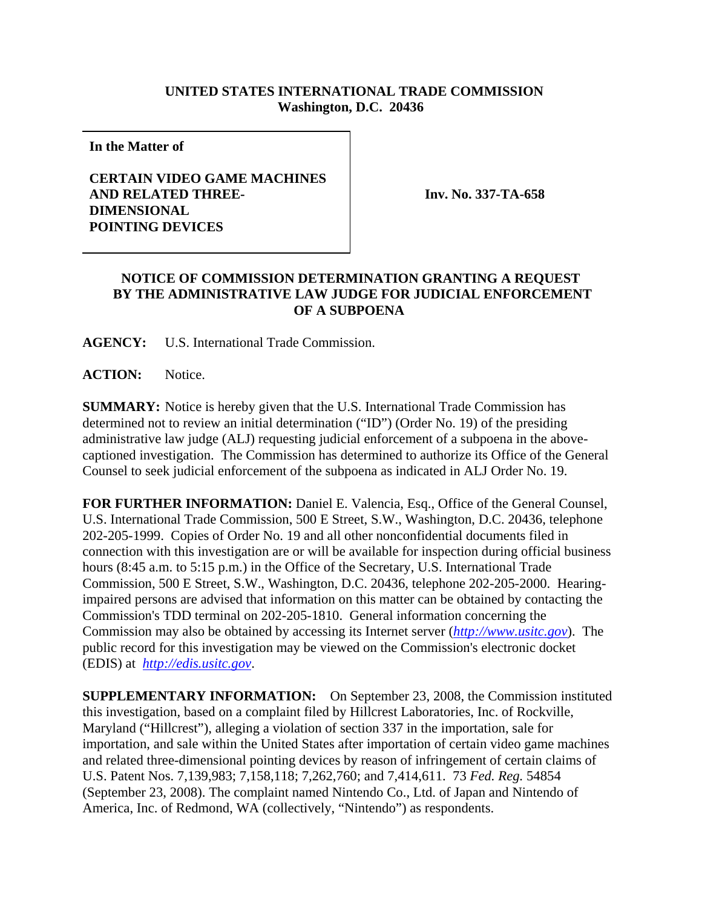## **UNITED STATES INTERNATIONAL TRADE COMMISSION Washington, D.C. 20436**

**In the Matter of**

## **CERTAIN VIDEO GAME MACHINES AND RELATED THREE-DIMENSIONAL POINTING DEVICES**

**Inv. No. 337-TA-658**

## **NOTICE OF COMMISSION DETERMINATION GRANTING A REQUEST BY THE ADMINISTRATIVE LAW JUDGE FOR JUDICIAL ENFORCEMENT OF A SUBPOENA**

**AGENCY:** U.S. International Trade Commission.

**ACTION:** Notice.

**SUMMARY:** Notice is hereby given that the U.S. International Trade Commission has determined not to review an initial determination ("ID") (Order No. 19) of the presiding administrative law judge (ALJ) requesting judicial enforcement of a subpoena in the abovecaptioned investigation. The Commission has determined to authorize its Office of the General Counsel to seek judicial enforcement of the subpoena as indicated in ALJ Order No. 19.

**FOR FURTHER INFORMATION:** Daniel E. Valencia, Esq., Office of the General Counsel, U.S. International Trade Commission, 500 E Street, S.W., Washington, D.C. 20436, telephone 202-205-1999. Copies of Order No. 19 and all other nonconfidential documents filed in connection with this investigation are or will be available for inspection during official business hours (8:45 a.m. to 5:15 p.m.) in the Office of the Secretary, U.S. International Trade Commission, 500 E Street, S.W., Washington, D.C. 20436, telephone 202-205-2000. Hearingimpaired persons are advised that information on this matter can be obtained by contacting the Commission's TDD terminal on 202-205-1810. General information concerning the Commission may also be obtained by accessing its Internet server (*http://www.usitc.gov*). The public record for this investigation may be viewed on the Commission's electronic docket (EDIS) at *http://edis.usitc.gov*.

**SUPPLEMENTARY INFORMATION:** On September 23, 2008, the Commission instituted this investigation, based on a complaint filed by Hillcrest Laboratories, Inc. of Rockville, Maryland ("Hillcrest"), alleging a violation of section 337 in the importation, sale for importation, and sale within the United States after importation of certain video game machines and related three-dimensional pointing devices by reason of infringement of certain claims of U.S. Patent Nos. 7,139,983; 7,158,118; 7,262,760; and 7,414,611. 73 *Fed. Reg.* 54854 (September 23, 2008). The complaint named Nintendo Co., Ltd. of Japan and Nintendo of America, Inc. of Redmond, WA (collectively, "Nintendo") as respondents.